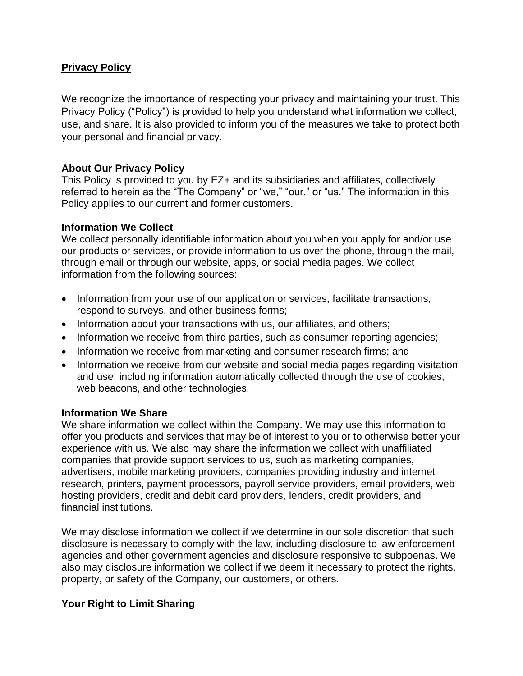## **Privacy Policy**

We recognize the importance of respecting your privacy and maintaining your trust. This Privacy Policy ("Policy") is provided to help you understand what information we collect, use, and share. It is also provided to inform you of the measures we take to protect both your personal and financial privacy.

### **About Our Privacy Policy**

This Policy is provided to you by EZ+ and its subsidiaries and affiliates, collectively referred to herein as the "The Company" or "we," "our," or "us." The information in this Policy applies to our current and former customers.

### **Information We Collect**

We collect personally identifiable information about you when you apply for and/or use our products or services, or provide information to us over the phone, through the mail, through email or through our website, apps, or social media pages. We collect information from the following sources:

- Information from your use of our application or services, facilitate transactions, respond to surveys, and other business forms;
- Information about your transactions with us, our affiliates, and others;
- Information we receive from third parties, such as consumer reporting agencies;
- Information we receive from marketing and consumer research firms; and
- Information we receive from our website and social media pages regarding visitation and use, including information automatically collected through the use of cookies, web beacons, and other technologies.

### **Information We Share**

We share information we collect within the Company. We may use this information to offer you products and services that may be of interest to you or to otherwise better your experience with us. We also may share the information we collect with unaffiliated companies that provide support services to us, such as marketing companies, advertisers, mobile marketing providers, companies providing industry and internet research, printers, payment processors, payroll service providers, email providers, web hosting providers, credit and debit card providers, lenders, credit providers, and financial institutions.

We may disclose information we collect if we determine in our sole discretion that such disclosure is necessary to comply with the law, including disclosure to law enforcement agencies and other government agencies and disclosure responsive to subpoenas. We also may disclosure information we collect if we deem it necessary to protect the rights, property, or safety of the Company, our customers, or others.

# **Your Right to Limit Sharing**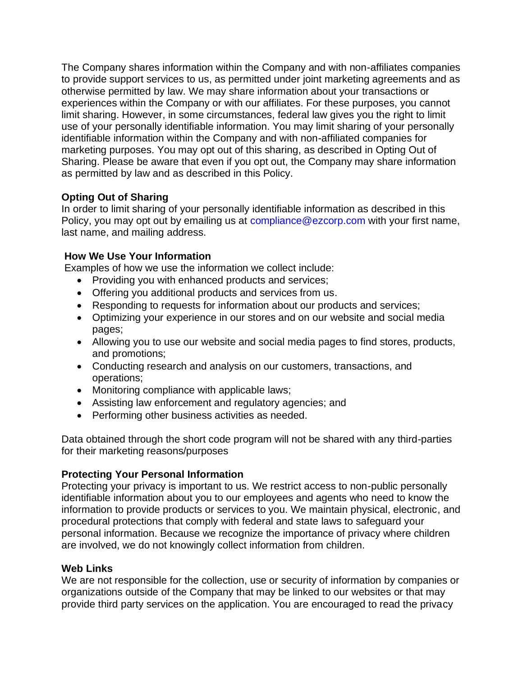The Company shares information within the Company and with non-affiliates companies to provide support services to us, as permitted under joint marketing agreements and as otherwise permitted by law. We may share information about your transactions or experiences within the Company or with our affiliates. For these purposes, you cannot limit sharing. However, in some circumstances, federal law gives you the right to limit use of your personally identifiable information. You may limit sharing of your personally identifiable information within the Company and with non-affiliated companies for marketing purposes. You may opt out of this sharing, as described in Opting Out of Sharing. Please be aware that even if you opt out, the Company may share information as permitted by law and as described in this Policy.

# **Opting Out of Sharing**

In order to limit sharing of your personally identifiable information as described in this Policy, you may opt out by emailing us at compliance@ezcorp.com with your first name, last name, and mailing address.

# **How We Use Your Information**

Examples of how we use the information we collect include:

- Providing you with enhanced products and services;
- Offering you additional products and services from us.
- Responding to requests for information about our products and services;
- Optimizing your experience in our stores and on our website and social media pages;
- Allowing you to use our website and social media pages to find stores, products, and promotions;
- Conducting research and analysis on our customers, transactions, and operations;
- Monitoring compliance with applicable laws;
- Assisting law enforcement and regulatory agencies; and
- Performing other business activities as needed.

Data obtained through the short code program will not be shared with any third-parties for their marketing reasons/purposes

# **Protecting Your Personal Information**

Protecting your privacy is important to us. We restrict access to non-public personally identifiable information about you to our employees and agents who need to know the information to provide products or services to you. We maintain physical, electronic, and procedural protections that comply with federal and state laws to safeguard your personal information. Because we recognize the importance of privacy where children are involved, we do not knowingly collect information from children.

# **Web Links**

We are not responsible for the collection, use or security of information by companies or organizations outside of the Company that may be linked to our websites or that may provide third party services on the application. You are encouraged to read the privacy